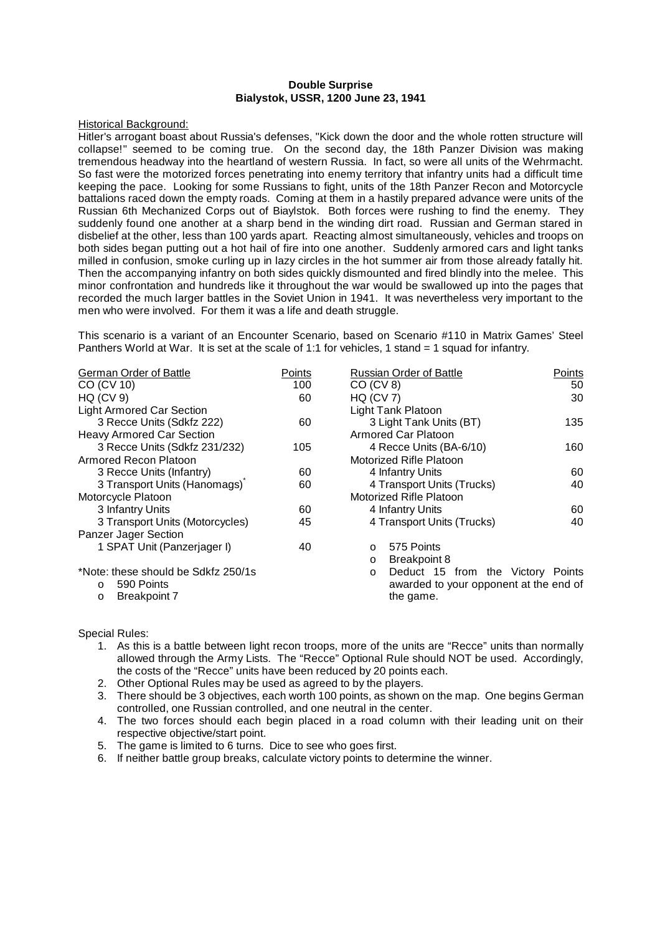### **Double Surprise Bialystok, USSR, 1200 June 23, 1941**

#### Historical Background:

Hitler's arrogant boast about Russia's defenses, "Kick down the door and the whole rotten structure will collapse!" seemed to be coming true. On the second day, the 18th Panzer Division was making tremendous headway into the heartland of western Russia. In fact, so were all units of the Wehrmacht. So fast were the motorized forces penetrating into enemy territory that infantry units had a difficult time keeping the pace. Looking for some Russians to fight, units of the 18th Panzer Recon and Motorcycle battalions raced down the empty roads. Coming at them in a hastily prepared advance were units of the Russian 6th Mechanized Corps out of Biaylstok. Both forces were rushing to find the enemy. They suddenly found one another at a sharp bend in the winding dirt road. Russian and German stared in disbelief at the other, less than 100 yards apart. Reacting almost simultaneously, vehicles and troops on both sides began putting out a hot hail of fire into one another. Suddenly armored cars and light tanks milled in confusion, smoke curling up in lazy circles in the hot summer air from those already fatally hit. Then the accompanying infantry on both sides quickly dismounted and fired blindly into the melee. This minor confrontation and hundreds like it throughout the war would be swallowed up into the pages that recorded the much larger battles in the Soviet Union in 1941. It was nevertheless very important to the men who were involved. For them it was a life and death struggle.

This scenario is a variant of an Encounter Scenario, based on Scenario #110 in Matrix Games' Steel Panthers World at War. It is set at the scale of 1:1 for vehicles, 1 stand = 1 squad for infantry.

| <b>German Order of Battle</b>       | Points | <b>Russian Order of Battle</b>               | Points |
|-------------------------------------|--------|----------------------------------------------|--------|
| CO (CV 10)                          | 100    | CO (CV 8)                                    | 50     |
| <b>HQ (CV 9)</b>                    | 60     | HQ (CV 7)                                    | 30     |
| <b>Light Armored Car Section</b>    |        | Light Tank Platoon                           |        |
| 3 Recce Units (Sdkfz 222)           | 60     | 3 Light Tank Units (BT)                      | 135    |
| <b>Heavy Armored Car Section</b>    |        | Armored Car Platoon                          |        |
| 3 Recce Units (Sdkfz 231/232)       | 105    | 4 Recce Units (BA-6/10)                      | 160    |
| Armored Recon Platoon               |        | Motorized Rifle Platoon                      |        |
| 3 Recce Units (Infantry)            | 60     | 4 Infantry Units                             | 60     |
| 3 Transport Units (Hanomags)        | 60     | 4 Transport Units (Trucks)                   | 40     |
| Motorcycle Platoon                  |        | Motorized Rifle Platoon                      |        |
| 3 Infantry Units                    | 60     | 4 Infantry Units                             | 60     |
| 3 Transport Units (Motorcycles)     | 45     | 4 Transport Units (Trucks)                   | 40     |
| Panzer Jager Section                |        |                                              |        |
| 1 SPAT Unit (Panzerjager I)         | 40     | 575 Points<br>$\circ$                        |        |
|                                     |        | <b>Breakpoint 8</b><br>$\circ$               |        |
| *Note: these should be Sdkfz 250/1s |        | Deduct 15 from the Victory Points<br>$\circ$ |        |
| 590 Points<br>$\circ$               |        | awarded to your opponent at the end of       |        |
| <b>Breakpoint 7</b><br>$\circ$      |        | the game.                                    |        |

Special Rules:

- 1. As this is a battle between light recon troops, more of the units are "Recce" units than normally allowed through the Army Lists. The "Recce" Optional Rule should NOT be used. Accordingly, the costs of the "Recce" units have been reduced by 20 points each.
- 2. Other Optional Rules may be used as agreed to by the players.
- 3. There should be 3 objectives, each worth 100 points, as shown on the map. One begins German controlled, one Russian controlled, and one neutral in the center.
- 4. The two forces should each begin placed in a road column with their leading unit on their respective objective/start point.
- 5. The game is limited to 6 turns. Dice to see who goes first.
- 6. If neither battle group breaks, calculate victory points to determine the winner.